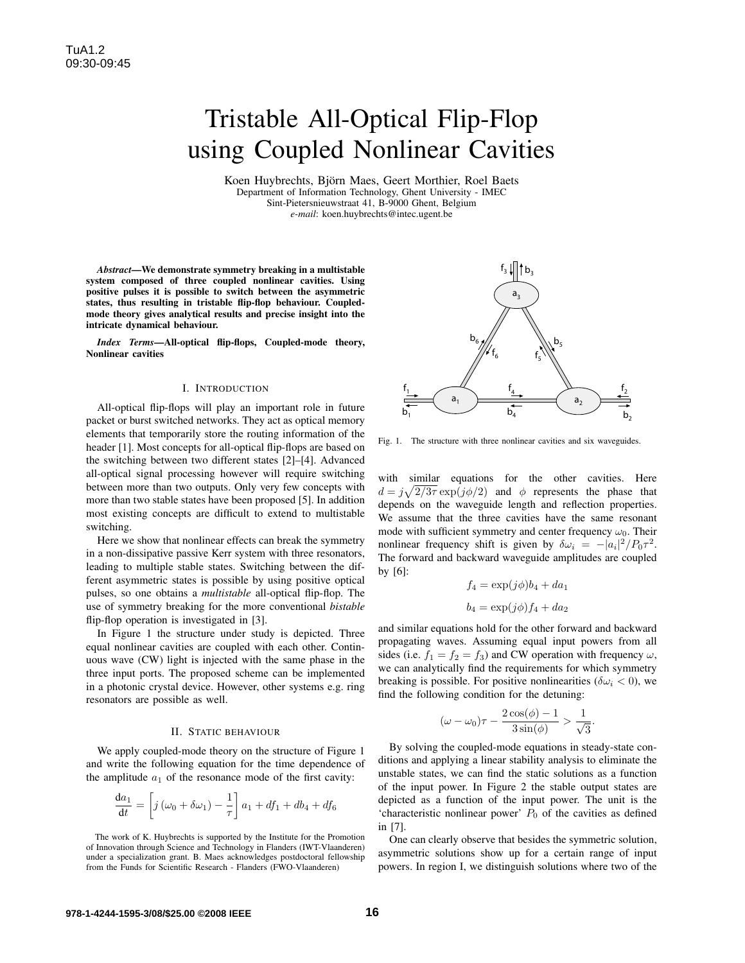# Tristable All-Optical Flip-Flop using Coupled Nonlinear Cavities

Koen Huybrechts, Björn Maes, Geert Morthier, Roel Baets Department of Information Technology, Ghent University - IMEC Sint-Pietersnieuwstraat 41, B-9000 Ghent, Belgium *e-mail*: koen.huybrechts@intec.ugent.be

*Abstract*—We demonstrate symmetry breaking in a multistable system composed of three coupled nonlinear cavities. Using positive pulses it is possible to switch between the asymmetric states, thus resulting in tristable flip-flop behaviour. Coupledmode theory gives analytical results and precise insight into the intricate dynamical behaviour.

*Index Terms*—All-optical flip-flops, Coupled-mode theory, Nonlinear cavities

### I. INTRODUCTION

All-optical flip-flops will play an important role in future packet or burst switched networks. They act as optical memory elements that temporarily store the routing information of the header [1]. Most concepts for all-optical flip-flops are based on the switching between two different states [2]–[4]. Advanced all-optical signal processing however will require switching between more than two outputs. Only very few concepts with more than two stable states have been proposed [5]. In addition most existing concepts are difficult to extend to multistable switching.

Here we show that nonlinear effects can break the symmetry in a non-dissipative passive Kerr system with three resonators, leading to multiple stable states. Switching between the different asymmetric states is possible by using positive optical pulses, so one obtains a *multistable* all-optical flip-flop. The use of symmetry breaking for the more conventional *bistable* flip-flop operation is investigated in [3].

In Figure 1 the structure under study is depicted. Three equal nonlinear cavities are coupled with each other. Continuous wave (CW) light is injected with the same phase in the three input ports. The proposed scheme can be implemented in a photonic crystal device. However, other systems e.g. ring resonators are possible as well.

#### II. STATIC BEHAVIOUR

We apply coupled-mode theory on the structure of Figure 1 and write the following equation for the time dependence of the amplitude  $a_1$  of the resonance mode of the first cavity:

$$
\frac{\mathrm{d}a_1}{\mathrm{d}t} = \left[ j\left(\omega_0 + \delta\omega_1\right) - \frac{1}{\tau} \right] a_1 + df_1 + db_4 + df_6
$$



Fig. 1. The structure with three nonlinear cavities and six waveguides.

with similar equations for the other cavities. Here  $d = j\sqrt{2/3\tau} \exp(j\phi/2)$  and  $\phi$  represents the phase that depends on the waveguide length and reflection properties. We assume that the three cavities have the same resonant mode with sufficient symmetry and center frequency  $\omega_0$ . Their nonlinear frequency shift is given by  $\delta \omega_i = - |a_i|^2 / P_0 \tau^2$ . The forward and backward waveguide amplitudes are coupled by [6]:

$$
f_4 = \exp(j\phi)b_4 + da_1
$$

$$
b_4 = \exp(j\phi)f_4 + da_2
$$

and similar equations hold for the other forward and backward propagating waves. Assuming equal input powers from all sides (i.e.  $f_1 = f_2 = f_3$ ) and CW operation with frequency  $\omega$ , we can analytically find the requirements for which symmetry breaking is possible. For positive nonlinearities ( $\delta \omega_i < 0$ ), we find the following condition for the detuning:

$$
(\omega - \omega_0)\tau - \frac{2\cos(\phi) - 1}{3\sin(\phi)} > \frac{1}{\sqrt{3}}
$$

.

By solving the coupled-mode equations in steady-state conditions and applying a linear stability analysis to eliminate the unstable states, we can find the static solutions as a function of the input power. In Figure 2 the stable output states are depicted as a function of the input power. The unit is the 'characteristic nonlinear power'  $P_0$  of the cavities as defined in [7].

One can clearly observe that besides the symmetric solution, asymmetric solutions show up for a certain range of input powers. In region I, we distinguish solutions where two of the

The work of K. Huybrechts is supported by the Institute for the Promotion of Innovation through Science and Technology in Flanders (IWT-Vlaanderen) under a specialization grant. B. Maes acknowledges postdoctoral fellowship from the Funds for Scientific Research - Flanders (FWO-Vlaanderen)